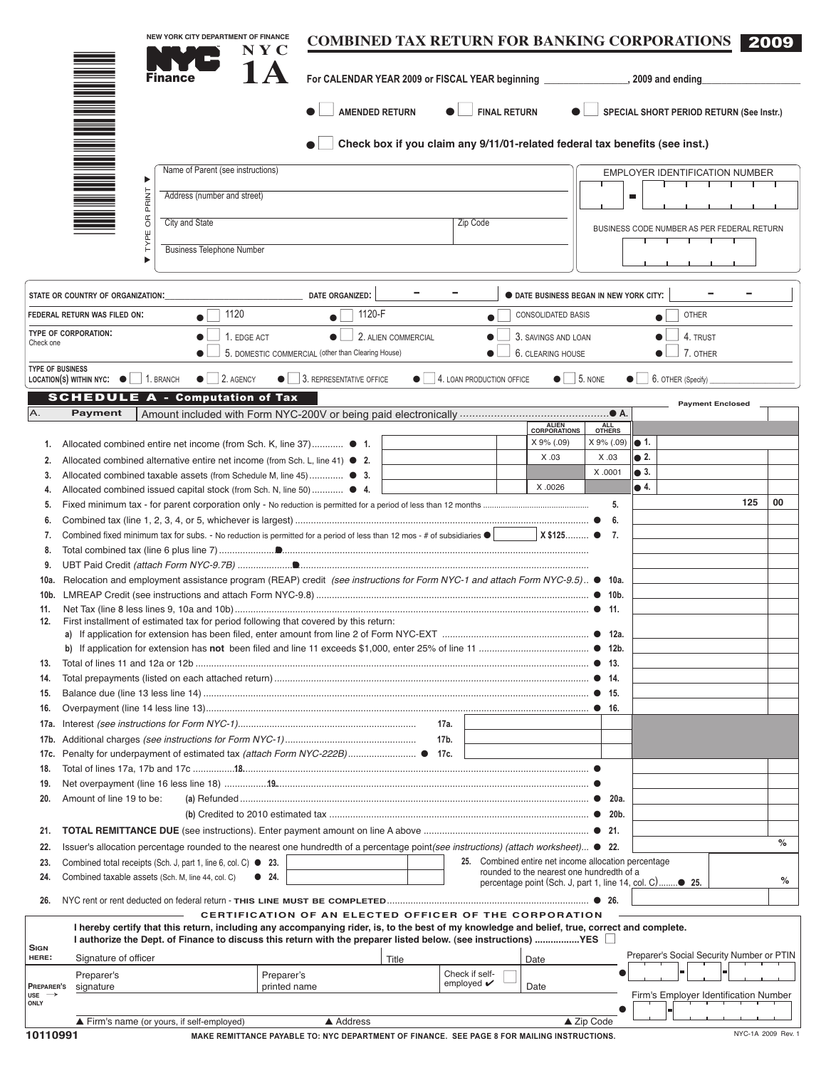|                                  |                                                   | NEW YORK CITY DEPARTMENT OF FINANCE                                                                                                                                                                            | $N$ $Y$ $C$                | <b>COMBINED TAX RETURN FOR BANKING CORPORATIONS</b>                                                      |                     |                                         |                                       |                                                         |                            |                |                                            |     | 2009               |
|----------------------------------|---------------------------------------------------|----------------------------------------------------------------------------------------------------------------------------------------------------------------------------------------------------------------|----------------------------|----------------------------------------------------------------------------------------------------------|---------------------|-----------------------------------------|---------------------------------------|---------------------------------------------------------|----------------------------|----------------|--------------------------------------------|-----|--------------------|
|                                  |                                                   | <b>Finance</b>                                                                                                                                                                                                 |                            |                                                                                                          |                     |                                         |                                       |                                                         |                            |                |                                            |     |                    |
|                                  |                                                   |                                                                                                                                                                                                                |                            | <b>AMENDED RETURN</b>                                                                                    |                     |                                         | <b>FINAL RETURN</b>                   |                                                         |                            |                | SPECIAL SHORT PERIOD RETURN (See Instr.)   |     |                    |
|                                  |                                                   |                                                                                                                                                                                                                |                            | Check box if you claim any 9/11/01-related federal tax benefits (see inst.)                              |                     |                                         |                                       |                                                         |                            |                |                                            |     |                    |
|                                  |                                                   | Name of Parent (see instructions)                                                                                                                                                                              |                            |                                                                                                          |                     |                                         |                                       |                                                         |                            |                | EMPLOYER IDENTIFICATION NUMBER             |     |                    |
|                                  | Þ                                                 | Address (number and street)                                                                                                                                                                                    |                            |                                                                                                          |                     |                                         |                                       |                                                         |                            | $\blacksquare$ |                                            |     |                    |
|                                  | <b>OR PRINT</b>                                   |                                                                                                                                                                                                                |                            |                                                                                                          |                     |                                         |                                       |                                                         |                            |                |                                            |     |                    |
|                                  |                                                   | City and State                                                                                                                                                                                                 |                            |                                                                                                          |                     | Zip Code                                |                                       |                                                         |                            |                | BUSINESS CODE NUMBER AS PER FEDERAL RETURN |     |                    |
|                                  | TYPE                                              | <b>Business Telephone Number</b>                                                                                                                                                                               |                            |                                                                                                          |                     |                                         |                                       |                                                         |                            |                |                                            |     |                    |
|                                  |                                                   |                                                                                                                                                                                                                |                            |                                                                                                          |                     |                                         |                                       |                                                         |                            |                |                                            |     |                    |
|                                  | STATE OR COUNTRY OF ORGANIZATION:                 |                                                                                                                                                                                                                |                            | DATE ORGANIZED:                                                                                          |                     |                                         |                                       | <b>O DATE BUSINESS BEGAN IN NEW YORK CITY:</b>          |                            |                |                                            |     |                    |
|                                  | FEDERAL RETURN WAS FILED ON:                      | 1120                                                                                                                                                                                                           |                            | 1120-F                                                                                                   |                     |                                         |                                       | CONSOLIDATED BASIS                                      |                            |                | <b>OTHER</b>                               |     |                    |
|                                  |                                                   |                                                                                                                                                                                                                |                            | $\bullet$                                                                                                |                     |                                         |                                       |                                                         |                            |                |                                            |     |                    |
| Check one                        | TYPE OF CORPORATION:                              | 1. EDGE ACT                                                                                                                                                                                                    |                            | $\bullet$                                                                                                | 2. ALIEN COMMERCIAL |                                         |                                       | 3. SAVINGS AND LOAN                                     |                            |                | 4. TRUST                                   |     |                    |
|                                  |                                                   |                                                                                                                                                                                                                |                            | 5. DOMESTIC COMMERCIAL (other than Clearing House)                                                       |                     |                                         |                                       | 6. CLEARING HOUSE                                       |                            |                | 7. OTHER                                   |     |                    |
| <b>TYPE OF BUSINESS</b>          | LOCATION(S) WITHIN NYC: $\bullet$   1. BRANCH     | $\bullet$ 2. AGENCY                                                                                                                                                                                            |                            | $\bullet$   3. REPRESENTATIVE OFFICE                                                                     |                     |                                         | $\bullet$   4. LOAN PRODUCTION OFFICE | $\bullet$ 5. NONE                                       |                            |                | $\bullet$ 6. OTHER (Specify)               |     |                    |
|                                  |                                                   | <b>SCHEDULE A - Computation of Tax</b>                                                                                                                                                                         |                            |                                                                                                          |                     |                                         |                                       |                                                         |                            |                |                                            |     |                    |
| Α.                               | <b>Payment</b>                                    |                                                                                                                                                                                                                |                            |                                                                                                          |                     |                                         |                                       |                                                         |                            |                | <b>Payment Enclosed</b>                    |     |                    |
|                                  |                                                   |                                                                                                                                                                                                                |                            |                                                                                                          |                     |                                         |                                       | ALIEN<br>CORPORATIONS                                   | <b>OTHERS</b>              |                |                                            |     |                    |
| 1.                               |                                                   | Allocated combined entire net income (from Sch. K, line 37) ● 1.                                                                                                                                               |                            |                                                                                                          |                     |                                         |                                       | X 9% (.09)                                              | $X 9\%$ (.09) $\bullet$ 1. |                |                                            |     |                    |
| 2.                               |                                                   | Allocated combined alternative entire net income (from Sch. L, line 41) $\bullet$ 2.                                                                                                                           |                            |                                                                                                          |                     |                                         |                                       | X.03                                                    | X.03                       | $\bullet$ 2.   |                                            |     |                    |
| 3.                               |                                                   | Allocated combined taxable assets (from Schedule M, line 45)  ● 3.                                                                                                                                             |                            |                                                                                                          |                     |                                         |                                       |                                                         | X .0001                    | $\bullet$ 3.   |                                            |     |                    |
| 4.                               |                                                   | Allocated combined issued capital stock (from Sch. N, line 50)  ● 4.                                                                                                                                           |                            |                                                                                                          |                     |                                         |                                       | X .0026                                                 |                            | $\bullet$ 4.   |                                            |     |                    |
| 5.                               |                                                   |                                                                                                                                                                                                                |                            |                                                                                                          |                     |                                         |                                       |                                                         | 5.                         |                |                                            | 125 | 00                 |
| 6.                               |                                                   |                                                                                                                                                                                                                |                            |                                                                                                          |                     |                                         |                                       |                                                         | 6.                         |                |                                            |     |                    |
| 7.                               |                                                   | Combined fixed minimum tax for subs. - No reduction is permitted for a period of less than 12 mos - # of subsidiaries $\bullet$                                                                                |                            |                                                                                                          |                     |                                         |                                       | X \$125 ● 7.                                            |                            |                |                                            |     |                    |
| 8.                               |                                                   |                                                                                                                                                                                                                |                            |                                                                                                          |                     |                                         |                                       |                                                         |                            |                |                                            |     |                    |
| 9.<br>10a.                       |                                                   | Relocation and employment assistance program (REAP) credit (see instructions for Form NYC-1 and attach Form NYC-9.5) ● 10a.                                                                                    |                            |                                                                                                          |                     |                                         |                                       |                                                         |                            |                |                                            |     |                    |
|                                  |                                                   |                                                                                                                                                                                                                |                            |                                                                                                          |                     |                                         |                                       |                                                         |                            |                |                                            |     |                    |
| 11.                              |                                                   |                                                                                                                                                                                                                |                            |                                                                                                          |                     |                                         |                                       |                                                         |                            |                |                                            |     |                    |
| 12.                              |                                                   | First installment of estimated tax for period following that covered by this return:                                                                                                                           |                            |                                                                                                          |                     |                                         |                                       |                                                         |                            |                |                                            |     |                    |
|                                  |                                                   | If application for extension has been filed, enter amount from line 2 of Form NYC-EXT                                                                                                                          |                            |                                                                                                          |                     |                                         |                                       |                                                         | $^{\circ}$ 12 <sub>3</sub> |                |                                            |     |                    |
| 13.                              |                                                   |                                                                                                                                                                                                                |                            |                                                                                                          |                     |                                         |                                       |                                                         |                            |                |                                            |     |                    |
| 14.                              |                                                   |                                                                                                                                                                                                                |                            |                                                                                                          |                     |                                         |                                       |                                                         |                            |                |                                            |     |                    |
| 15.                              |                                                   |                                                                                                                                                                                                                |                            |                                                                                                          |                     |                                         |                                       |                                                         |                            |                |                                            |     |                    |
| 16.                              |                                                   |                                                                                                                                                                                                                |                            |                                                                                                          |                     |                                         |                                       |                                                         |                            |                |                                            |     |                    |
| 17a.                             |                                                   |                                                                                                                                                                                                                |                            |                                                                                                          | 17a.                |                                         |                                       |                                                         |                            |                |                                            |     |                    |
| 17b.                             |                                                   |                                                                                                                                                                                                                |                            |                                                                                                          | 17b.                |                                         |                                       |                                                         |                            |                |                                            |     |                    |
| 17c.                             |                                                   | Penalty for underpayment of estimated tax (attach Form NYC-222B) ● 17c.                                                                                                                                        |                            |                                                                                                          |                     |                                         |                                       |                                                         |                            |                |                                            |     |                    |
| 18.                              |                                                   |                                                                                                                                                                                                                |                            |                                                                                                          |                     |                                         |                                       |                                                         |                            |                |                                            |     |                    |
| 19.                              |                                                   |                                                                                                                                                                                                                |                            |                                                                                                          |                     |                                         |                                       |                                                         |                            |                |                                            |     |                    |
| 20.                              | Amount of line 19 to be:                          |                                                                                                                                                                                                                |                            |                                                                                                          |                     |                                         |                                       |                                                         |                            |                |                                            |     |                    |
|                                  |                                                   |                                                                                                                                                                                                                |                            |                                                                                                          |                     |                                         |                                       |                                                         |                            |                |                                            |     |                    |
| 21.                              |                                                   |                                                                                                                                                                                                                |                            |                                                                                                          |                     |                                         |                                       |                                                         |                            |                |                                            |     | %                  |
| 22.<br>23.                       |                                                   | Issuer's allocation percentage rounded to the nearest one hundredth of a percentage point(see instructions) (attach worksheet) ● 22.<br>Combined total receipts (Sch. J, part 1, line 6, col. C) $\bullet$ 23. |                            |                                                                                                          |                     |                                         |                                       | 25. Combined entire net income allocation percentage    |                            |                |                                            |     |                    |
| 24.                              | Combined taxable assets (Sch. M, line 44, col. C) |                                                                                                                                                                                                                | • 24.                      |                                                                                                          |                     |                                         |                                       | rounded to the nearest one hundredth of a               |                            |                |                                            |     |                    |
|                                  |                                                   |                                                                                                                                                                                                                |                            |                                                                                                          |                     |                                         |                                       | percentage point (Sch. J, part 1, line 14, col. C)● 25. |                            |                |                                            |     | %                  |
| 26.                              |                                                   |                                                                                                                                                                                                                |                            |                                                                                                          |                     |                                         |                                       |                                                         | -26.                       |                |                                            |     |                    |
|                                  |                                                   | I hereby certify that this return, including any accompanying rider, is, to the best of my knowledge and belief, true, correct and complete.                                                                   |                            | CERTIFICATION OF AN ELECTED OFFICER OF THE CORPORATION                                                   |                     |                                         |                                       |                                                         |                            |                |                                            |     |                    |
| <b>SIGN</b>                      |                                                   | I authorize the Dept. of Finance to discuss this return with the preparer listed below. (see instructions) ………………YES □                                                                                         |                            |                                                                                                          |                     |                                         |                                       |                                                         |                            |                |                                            |     |                    |
| HERE:                            | Signature of officer                              |                                                                                                                                                                                                                |                            |                                                                                                          | Title               |                                         |                                       | Date                                                    |                            |                | Preparer's Social Security Number or PTIN  |     |                    |
| PREPARER'S                       | Preparer's<br>signature                           |                                                                                                                                                                                                                | Preparer's<br>printed name |                                                                                                          |                     | Check if self-<br>employed $\checkmark$ |                                       | Date                                                    |                            |                |                                            |     |                    |
| $use \rightarrow$<br><b>ONLY</b> |                                                   |                                                                                                                                                                                                                |                            |                                                                                                          |                     |                                         |                                       |                                                         |                            |                | Firm's Employer Identification Number      |     |                    |
|                                  |                                                   |                                                                                                                                                                                                                |                            |                                                                                                          |                     |                                         |                                       |                                                         |                            |                |                                            |     |                    |
| 10110991                         |                                                   | Firm's name (or yours, if self-employed)                                                                                                                                                                       |                            | ▲ Address<br>MAKE REMITTANCE PAYABLE TO: NYC DEPARTMENT OF FINANCE. SEE PAGE 8 FOR MAILING INSTRUCTIONS. |                     |                                         |                                       |                                                         | ▲ Zip Code                 |                |                                            |     | NYC-1A 2009 Rev. 1 |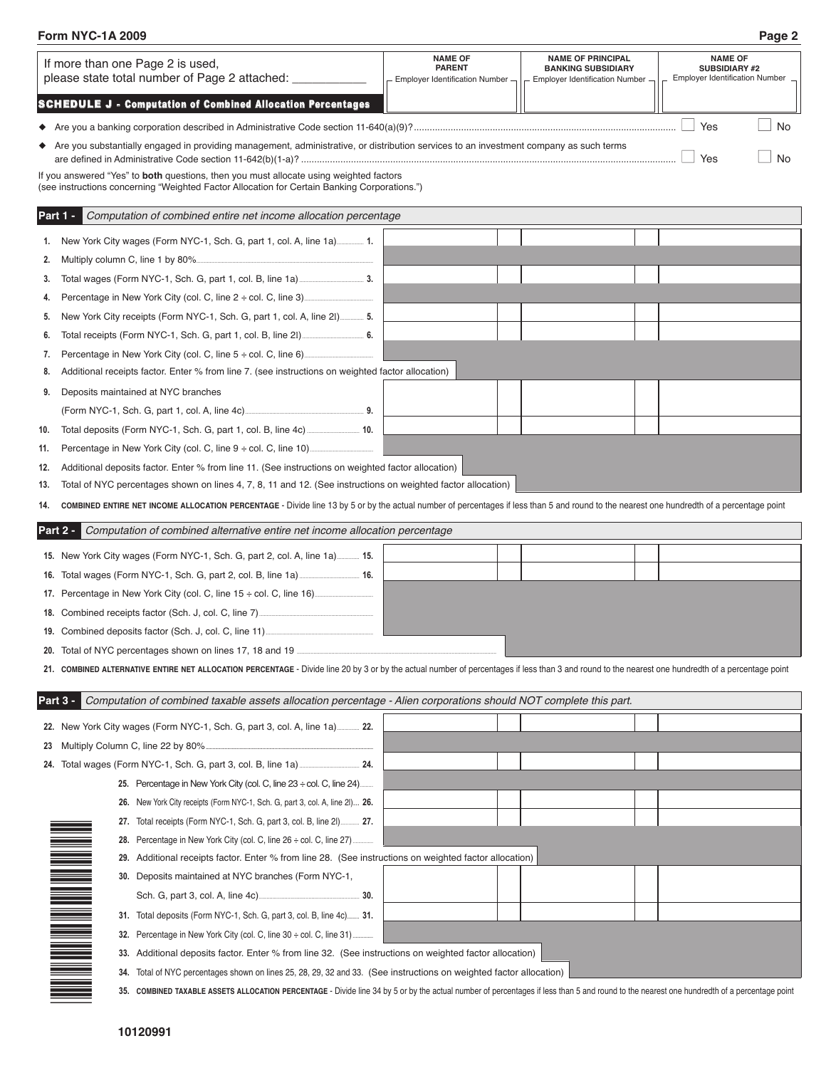### **Form NYC-1A 2009 Page 2**

| If more than one Page 2 is used,<br>please state total number of Page 2 attached: ___________                                                                                                                                                                                 | <b>NAME OF</b><br><b>PARENT</b><br>- Employer Identification Number- | <b>NAME OF PRINCIPAL</b><br><b>BANKING SUBSIDIARY</b><br>Employer Identification Number - | <b>NAME OF</b><br><b>SUBSIDIARY #2</b><br>Employer Identification Number _ |
|-------------------------------------------------------------------------------------------------------------------------------------------------------------------------------------------------------------------------------------------------------------------------------|----------------------------------------------------------------------|-------------------------------------------------------------------------------------------|----------------------------------------------------------------------------|
| <b>SCHEDULE J - Computation of Combined Allocation Percentages</b>                                                                                                                                                                                                            |                                                                      |                                                                                           |                                                                            |
|                                                                                                                                                                                                                                                                               |                                                                      |                                                                                           | Yes<br>No                                                                  |
| ◆ Are you substantially engaged in providing management, administrative, or distribution services to an investment company as such terms                                                                                                                                      |                                                                      |                                                                                           | Yes<br>No                                                                  |
| If you answered "Yes" to <b>both</b> questions, then you must allocate using weighted factors<br>(see instructions concerning "Weighted Factor Allocation for Certain Banking Corporations.")                                                                                 |                                                                      |                                                                                           |                                                                            |
| Part 1 -<br>Computation of combined entire net income allocation percentage                                                                                                                                                                                                   |                                                                      |                                                                                           |                                                                            |
| 1.                                                                                                                                                                                                                                                                            |                                                                      |                                                                                           |                                                                            |
| Multiply column C, line 1 by 80%<br>2.                                                                                                                                                                                                                                        |                                                                      |                                                                                           |                                                                            |
| 3.                                                                                                                                                                                                                                                                            |                                                                      |                                                                                           |                                                                            |
| 4.                                                                                                                                                                                                                                                                            |                                                                      |                                                                                           |                                                                            |
| New York City receipts (Form NYC-1, Sch. G, part 1, col. A, line 21) 5.<br>5.                                                                                                                                                                                                 |                                                                      |                                                                                           |                                                                            |
| 6.                                                                                                                                                                                                                                                                            |                                                                      |                                                                                           |                                                                            |
| Percentage in New York City (col. C, line $5 \div$ col. C, line 6)<br>7.                                                                                                                                                                                                      |                                                                      |                                                                                           |                                                                            |
| Additional receipts factor. Enter % from line 7. (see instructions on weighted factor allocation)<br>8.                                                                                                                                                                       |                                                                      |                                                                                           |                                                                            |
| Deposits maintained at NYC branches<br>9.                                                                                                                                                                                                                                     |                                                                      |                                                                                           |                                                                            |
|                                                                                                                                                                                                                                                                               |                                                                      |                                                                                           |                                                                            |
| 10.                                                                                                                                                                                                                                                                           |                                                                      |                                                                                           |                                                                            |
| 11.                                                                                                                                                                                                                                                                           |                                                                      |                                                                                           |                                                                            |
| Additional deposits factor. Enter % from line 11. (See instructions on weighted factor allocation)<br>12.                                                                                                                                                                     |                                                                      |                                                                                           |                                                                            |
| Total of NYC percentages shown on lines 4, 7, 8, 11 and 12. (See instructions on weighted factor allocation)<br>13.                                                                                                                                                           |                                                                      |                                                                                           |                                                                            |
| COMBINED ENTIRE NET INCOME ALLOCATION PERCENTAGE - Divide line 13 by 5 or by the actual number of percentages if less than 5 and round to the nearest one hundredth of a percentage point<br>14.                                                                              |                                                                      |                                                                                           |                                                                            |
| Part 2 -<br>Computation of combined alternative entire net income allocation percentage                                                                                                                                                                                       |                                                                      |                                                                                           |                                                                            |
| 15. New York City wages (Form NYC-1, Sch. G, part 2, col. A, line 1a) 15.                                                                                                                                                                                                     |                                                                      |                                                                                           |                                                                            |
|                                                                                                                                                                                                                                                                               |                                                                      |                                                                                           |                                                                            |
|                                                                                                                                                                                                                                                                               |                                                                      |                                                                                           |                                                                            |
|                                                                                                                                                                                                                                                                               |                                                                      |                                                                                           |                                                                            |
|                                                                                                                                                                                                                                                                               |                                                                      |                                                                                           |                                                                            |
|                                                                                                                                                                                                                                                                               |                                                                      |                                                                                           |                                                                            |
| 20. Total of NYC percentages shown on lines 17, 18 and 19                                                                                                                                                                                                                     |                                                                      |                                                                                           |                                                                            |
| 21. COMBINED ALTERNATIVE ENTIRE NET ALLOCATION PERCENTAGE - Divide line 20 by 3 or by the actual number of percentages if less than 3 and round to the nearest one hundredth of a percentage point                                                                            |                                                                      |                                                                                           |                                                                            |
| Computation of combined taxable assets allocation percentage - Alien corporations should NOT complete this part.<br>Part 3 -                                                                                                                                                  |                                                                      |                                                                                           |                                                                            |
| 22. New York City wages (Form NYC-1, Sch. G, part 3, col. A, line 1a) 22.                                                                                                                                                                                                     |                                                                      |                                                                                           |                                                                            |
| 23 Multiply Column C, line 22 by 80%                                                                                                                                                                                                                                          |                                                                      |                                                                                           |                                                                            |
|                                                                                                                                                                                                                                                                               |                                                                      |                                                                                           |                                                                            |
| 25. Percentage in New York City (col. C, line $23 \div$ col. C, line $24$ )                                                                                                                                                                                                   |                                                                      |                                                                                           |                                                                            |
| 26. New York City receipts (Form NYC-1, Sch. G, part 3, col. A, line 2I) 26.                                                                                                                                                                                                  |                                                                      |                                                                                           |                                                                            |
| 27. Total receipts (Form NYC-1, Sch. G, part 3, col. B, line 2I) 27.                                                                                                                                                                                                          |                                                                      |                                                                                           |                                                                            |
| 28. Percentage in New York City (col. C, line 26 ÷ col. C, line 27)                                                                                                                                                                                                           |                                                                      |                                                                                           |                                                                            |
| 29. Additional receipts factor. Enter % from line 28. (See instructions on weighted factor allocation)                                                                                                                                                                        |                                                                      |                                                                                           |                                                                            |
| 30. Deposits maintained at NYC branches (Form NYC-1,                                                                                                                                                                                                                          |                                                                      |                                                                                           |                                                                            |
|                                                                                                                                                                                                                                                                               |                                                                      |                                                                                           |                                                                            |
| 31. Total deposits (Form NYC-1, Sch. G, part 3, col. B, line 4c) 31.                                                                                                                                                                                                          |                                                                      |                                                                                           |                                                                            |
| 32. Percentage in New York City (col. C, line 30 ÷ col. C, line 31)                                                                                                                                                                                                           |                                                                      |                                                                                           |                                                                            |
| 33. Additional deposits factor. Enter % from line 32. (See instructions on weighted factor allocation)                                                                                                                                                                        |                                                                      |                                                                                           |                                                                            |
| 34. Total of NYC percentages shown on lines 25, 28, 29, 32 and 33. (See instructions on weighted factor allocation)                                                                                                                                                           |                                                                      |                                                                                           |                                                                            |
| N BIRTHDA AN AN DAOINE AN DÈIDEACH A BHRIAD AN DÈIDEACH A DAOINE AN DÈIDEACH AG<br>35. COMBINED TAXABLE ASSETS ALLOCATION PERCENTAGE - Divide line 34 by 5 or by the actual number of percentages if less than 5 and round to the nearest one hundredth of a percentage point |                                                                      |                                                                                           |                                                                            |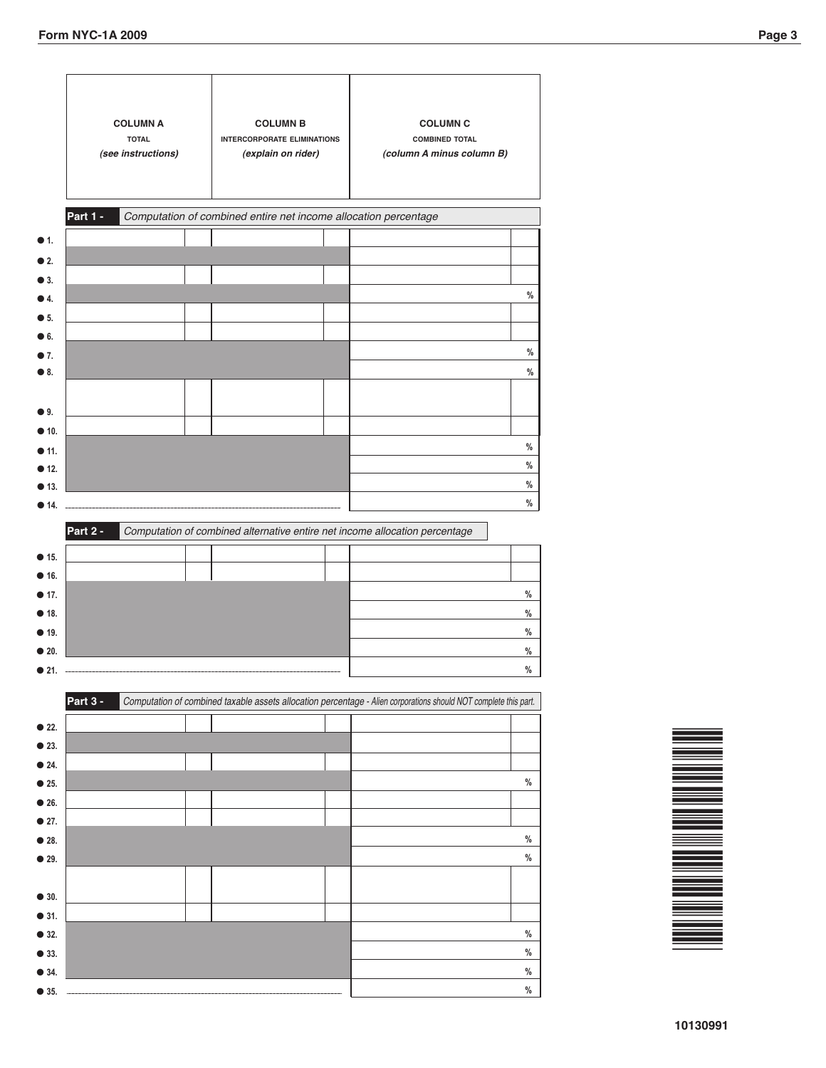| <b>COLUMN A</b><br><b>TOTAL</b><br>(see instructions) | <b>COLUMN B</b><br><b>INTERCORPORATE ELIMINATIONS</b><br>(explain on rider) | <b>COLUMN C</b><br><b>COMBINED TOTAL</b><br>(column A minus column B)                                            |
|-------------------------------------------------------|-----------------------------------------------------------------------------|------------------------------------------------------------------------------------------------------------------|
| Part 1 -                                              | Computation of combined entire net income allocation percentage             |                                                                                                                  |
|                                                       |                                                                             |                                                                                                                  |
|                                                       |                                                                             |                                                                                                                  |
|                                                       |                                                                             |                                                                                                                  |
|                                                       |                                                                             |                                                                                                                  |
|                                                       |                                                                             |                                                                                                                  |
|                                                       |                                                                             |                                                                                                                  |
|                                                       |                                                                             |                                                                                                                  |
|                                                       |                                                                             |                                                                                                                  |
|                                                       |                                                                             |                                                                                                                  |
|                                                       |                                                                             |                                                                                                                  |
|                                                       |                                                                             |                                                                                                                  |
|                                                       |                                                                             |                                                                                                                  |
|                                                       |                                                                             |                                                                                                                  |
|                                                       |                                                                             |                                                                                                                  |
|                                                       |                                                                             |                                                                                                                  |
|                                                       |                                                                             |                                                                                                                  |
|                                                       |                                                                             |                                                                                                                  |
| Part 3 -                                              |                                                                             | Computation of combined taxable assets allocation percentage - Alien corporations should NOT complete this part. |
|                                                       |                                                                             |                                                                                                                  |
|                                                       |                                                                             |                                                                                                                  |
|                                                       |                                                                             |                                                                                                                  |
|                                                       |                                                                             |                                                                                                                  |
|                                                       |                                                                             |                                                                                                                  |
|                                                       |                                                                             |                                                                                                                  |
|                                                       |                                                                             |                                                                                                                  |
|                                                       |                                                                             |                                                                                                                  |
|                                                       |                                                                             |                                                                                                                  |
|                                                       |                                                                             |                                                                                                                  |
|                                                       |                                                                             |                                                                                                                  |
|                                                       |                                                                             |                                                                                                                  |

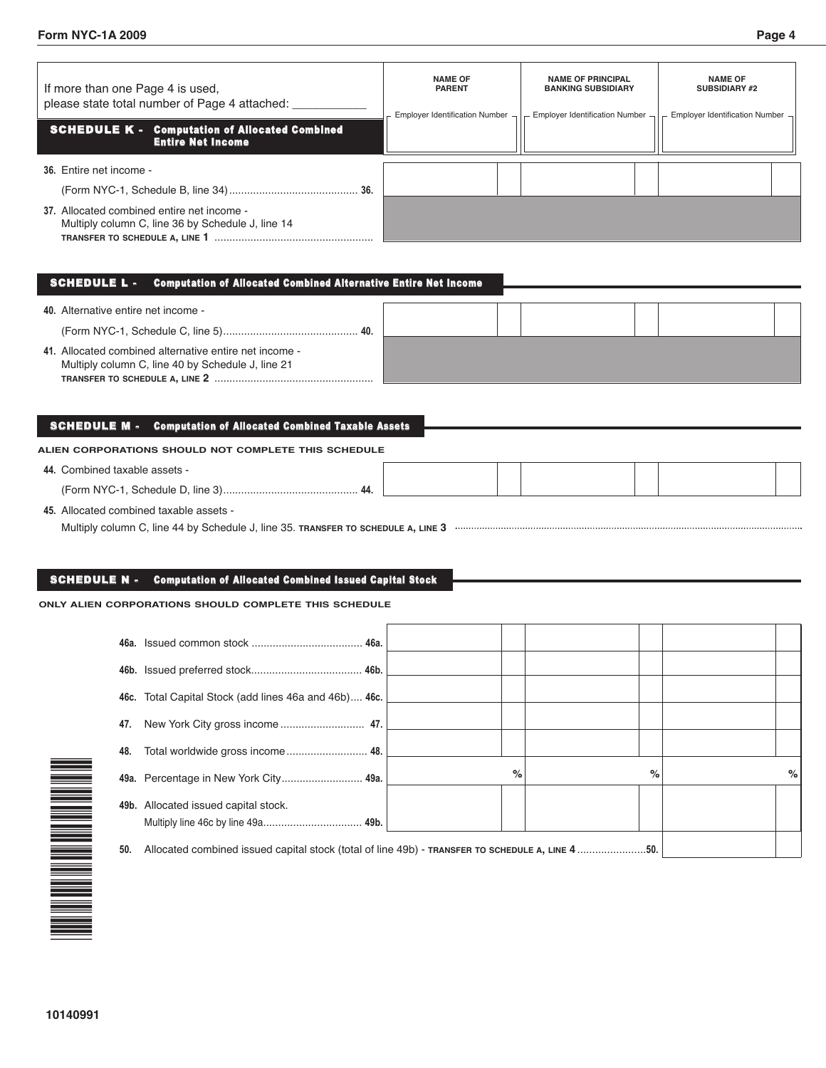| If more than one Page 4 is used,<br>please state total number of Page 4 attached:<br><b>SCHEDULE K - Computation of Allocated Combined</b><br><b>Entire Net Income</b> | <b>NAME OF</b><br><b>PARENT</b><br>Employer Identification Number $\lnot$ | <b>NAME OF PRINCIPAL</b><br><b>BANKING SUBSIDIARY</b><br>Employer Identification Number $\lnot$ | <b>NAME OF</b><br><b>SUBSIDIARY #2</b><br>$-$ Employer Identification Number $\cdot$ |
|------------------------------------------------------------------------------------------------------------------------------------------------------------------------|---------------------------------------------------------------------------|-------------------------------------------------------------------------------------------------|--------------------------------------------------------------------------------------|
| 36. Entire net income -                                                                                                                                                |                                                                           |                                                                                                 |                                                                                      |
|                                                                                                                                                                        |                                                                           |                                                                                                 |                                                                                      |
| 37. Allocated combined entire net income -<br>Multiply column C, line 36 by Schedule J, line 14<br>TRANSFER TO SCHEDULE A, LINE 1                                      |                                                                           |                                                                                                 |                                                                                      |

#### SCHEDULE L - Computation of Allocated Combined Alternative Entire Net Income

| 40. Alternative entire net income -                                                                         |  |  |  |
|-------------------------------------------------------------------------------------------------------------|--|--|--|
|                                                                                                             |  |  |  |
| 41. Allocated combined alternative entire net income -<br>Multiply column C, line 40 by Schedule J, line 21 |  |  |  |

#### SCHEDULE M - Computation of Allocated Combined Taxable Assets

#### **ALIEN CORPORATIONS SHOULD NOT COMPLETE THIS SCHEDULE**

| 44. Combined taxable assets -               |  |  |  |
|---------------------------------------------|--|--|--|
|                                             |  |  |  |
| <b>AF</b> Allocated combined toughle consta |  |  |  |

**45.** Allocated combined taxable assets -

Multiply column C, line 44 by Schedule J, line 35. **TRANSFER TO SCHEDULE A, LINE 3**

#### SCHEDULE N - Computation of Allocated Combined Issued Capital Stock

#### **ONLY ALIEN CORPORATIONS SHOULD COMPLETE THIS SCHEDULE**

|     | 46c. Total Capital Stock (add lines 46a and 46b) 46c.                                           |      |   |      |
|-----|-------------------------------------------------------------------------------------------------|------|---|------|
| 47. |                                                                                                 |      |   |      |
| 48. |                                                                                                 |      |   |      |
|     | 49a. Percentage in New York City 49a.                                                           | $\%$ | % | $\%$ |
|     | 49b. Allocated issued capital stock.                                                            |      |   |      |
| 50. | Allocated combined issued capital stock (total of line 49b) - TRANSFER TO SCHEDULE A, LINE 450. |      |   |      |

| ۳ |
|---|
| E |
|   |
|   |
|   |
|   |
| ŧ |
| Ξ |
|   |
|   |
|   |
|   |
|   |
|   |
|   |
| Ē |
|   |
|   |
|   |
|   |
|   |
|   |
|   |
|   |
|   |
|   |
|   |
|   |
|   |
|   |
|   |
|   |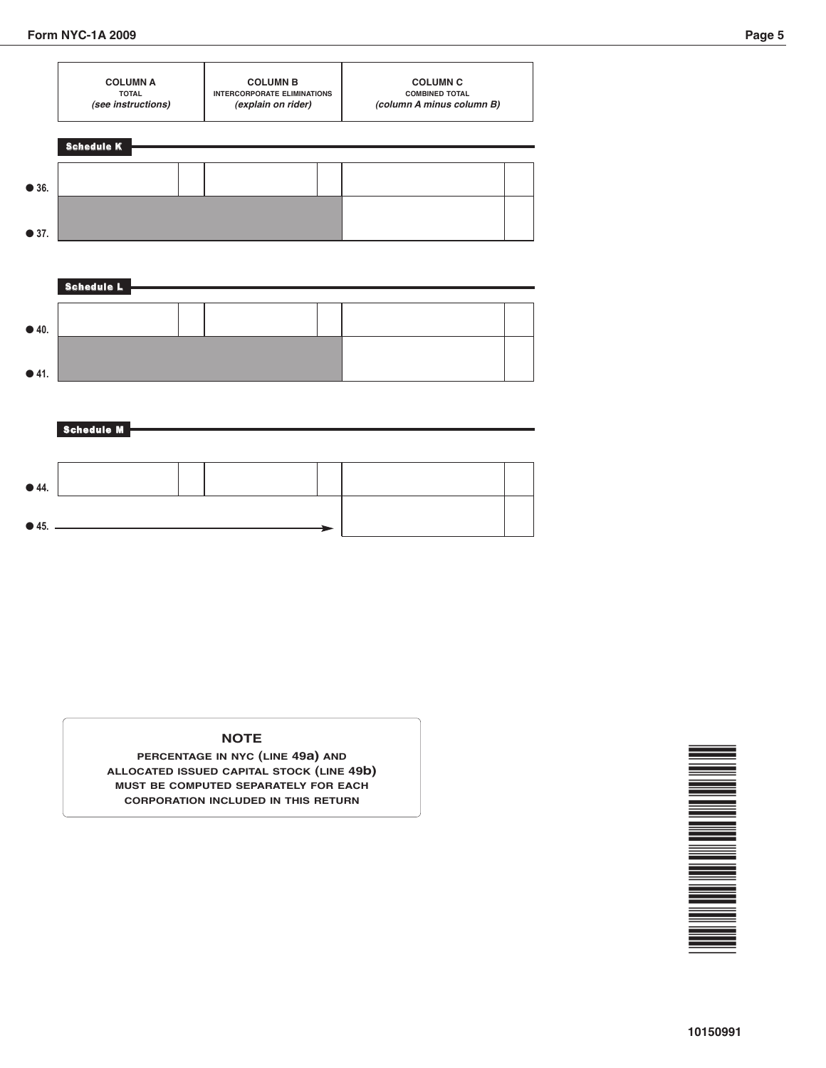Schedule M



# ● **40.** ● **41.** Schedule L

# ● **44.** ● **45.**

#### **NOTE**

**PERCENTAGE IN NYC (LINE 49a) AND ALLOCATED ISSUED CAPITAL STOCK (LINE 49b) MUST BE COMPUTED SEPARATELY FOR EACH CORPORATION INCLUDED IN THIS RETURN**

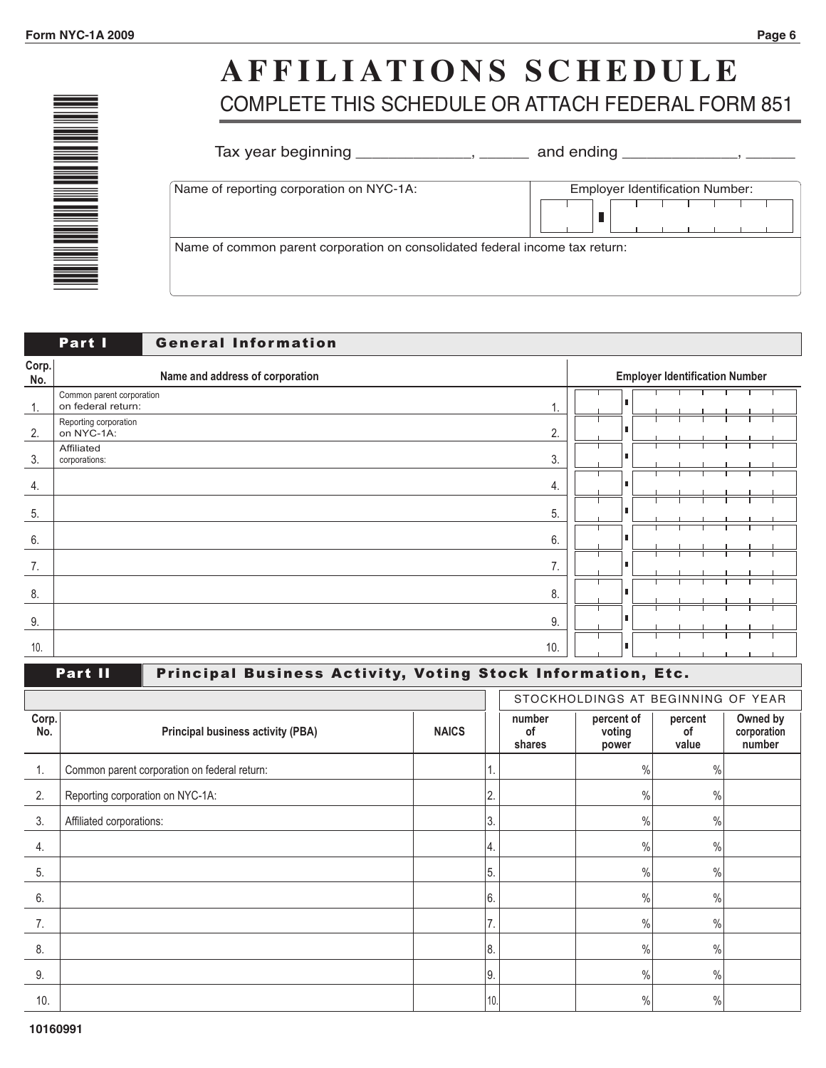\*<u>1989 - 1989 - 1989 - 1989 - 1989 - 1989 - 1989 - 1989 - 1989 - 1989 - 1989 - 1989 - 1989 - 1989 - 1989 - 198</u> <u>000 - 100</u> 1<br>1911 - Johann Barnes<br>1911 - Johann Barnes 6 <u>000 - 10</u> 999 - 1999<br>1999 - 1999 - 1999 - 1999 - 1999 - 1999 - 1999 - 1999 - 1999 - 1999 - 1999 - 1999 - 1999 - 1999 - 1<br>1999 - 1999 - 1999 - 1999 - 1999 - 1999 - 1999 - 1999 - 1999 - 1999 - 1999 - 1999 - 1999 - 1999 - 1999 - 1999 9 1<br>1911 - Johann Barnes<br>1911 - Johann Barnes \*

## **A F F ILI ATI O N S S C H E D U LE** COMPLETE THIS SCHEDULE OR ATTACH FEDERAL FORM 851

| Name of reporting corporation on NYC-1A: | <b>Employer Identification Number:</b> |
|------------------------------------------|----------------------------------------|
|                                          |                                        |

|                | Part I<br><b>General Information</b>            |   |                                       |
|----------------|-------------------------------------------------|---|---------------------------------------|
| Corp.<br>No.   | Name and address of corporation                 |   | <b>Employer Identification Number</b> |
| $\mathbf{1}$ . | Common parent corporation<br>on federal return: |   |                                       |
| 2.             | Reporting corporation<br>2.<br>on NYC-1A:       | п |                                       |
| 3.             | Affiliated<br>3.<br>corporations:               |   |                                       |
| 4.             | 4.                                              |   |                                       |
| 5.             | 5.                                              |   |                                       |
| 6.             | 6.                                              |   |                                       |
| 7.             | 7.                                              | л |                                       |
| 8.             | 8.                                              |   |                                       |
| 9.             | 9.                                              |   |                                       |
| 10.            | 10.                                             |   |                                       |

## Part II Principal Business Activity, Voting Stock Information, Etc.

|              |                                              |              |      |                        | STOCKHOLDINGS AT BEGINNING OF YEAR |                        |                                   |
|--------------|----------------------------------------------|--------------|------|------------------------|------------------------------------|------------------------|-----------------------------------|
| Corp.<br>No. | <b>Principal business activity (PBA)</b>     | <b>NAICS</b> |      | number<br>οf<br>shares | percent of<br>voting<br>power      | percent<br>οf<br>value | Owned by<br>corporation<br>number |
|              | Common parent corporation on federal return: |              |      |                        | $\%$                               | $\%$                   |                                   |
| 2.           | Reporting corporation on NYC-1A:             |              | 2.   |                        | $\%$                               | $\frac{0}{0}$          |                                   |
| 3.           | Affiliated corporations:                     |              | 3.   |                        | $\%$                               | $\%$                   |                                   |
| 4.           |                                              |              | '4.  |                        | $\%$                               | $\%$                   |                                   |
| 5.           |                                              |              | 5.   |                        | $\%$                               | $\%$                   |                                   |
| 6.           |                                              |              | 6.   |                        | $\frac{0}{0}$                      | $\%$                   |                                   |
| 7.           |                                              |              | 7.   |                        | $\%$                               | $\%$                   |                                   |
| 8.           |                                              |              | 8.   |                        | $\frac{0}{0}$                      | $\%$                   |                                   |
| 9.           |                                              |              | $9.$ |                        | $\%$                               | $\frac{0}{0}$          |                                   |
| 10.          |                                              |              | 10.  |                        | $\frac{0}{0}$                      | $\frac{0}{0}$          |                                   |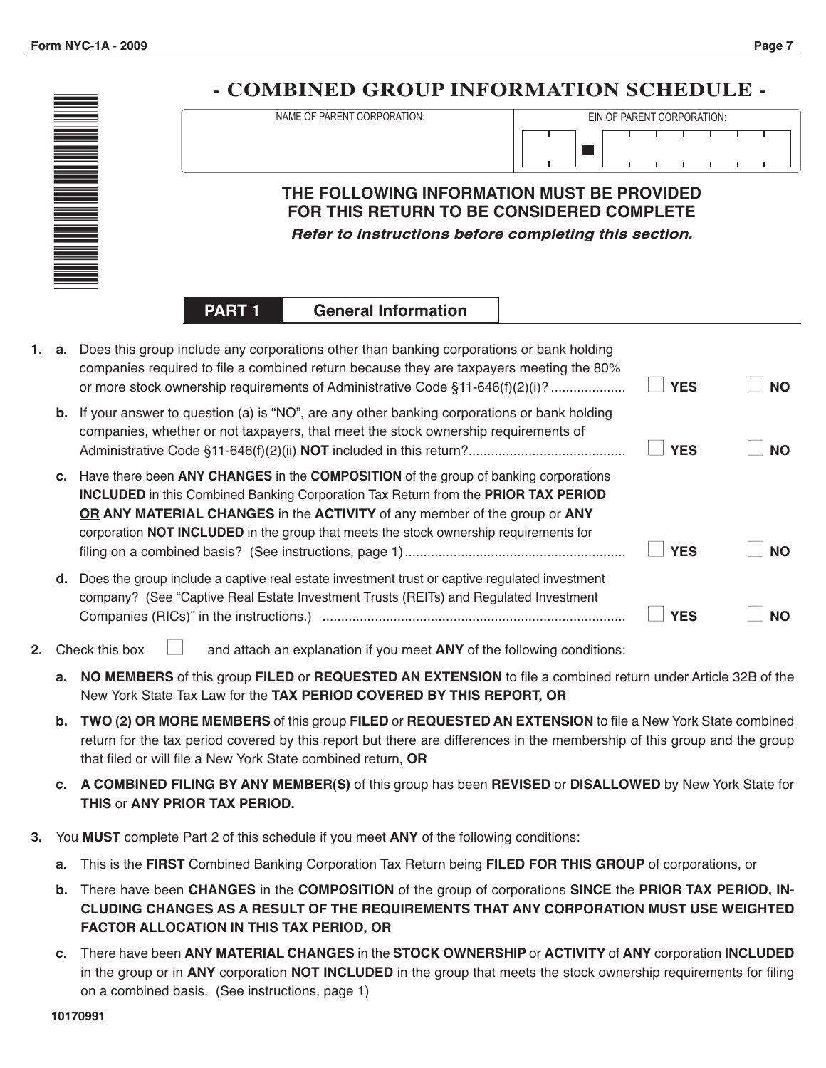

#### **General Information PART 1**

| 1. a. | Does this group include any corporations other than banking corporations or bank holding<br>companies required to file a combined return because they are taxpayers meeting the 80%<br>or more stock ownership requirements of Administrative Code §11-646(f)(2)(i)?                                                                                      | <b>YES</b> | <b>NO</b> |
|-------|-----------------------------------------------------------------------------------------------------------------------------------------------------------------------------------------------------------------------------------------------------------------------------------------------------------------------------------------------------------|------------|-----------|
| b.    | If your answer to question (a) is "NO", are any other banking corporations or bank holding<br>companies, whether or not taxpayers, that meet the stock ownership requirements of                                                                                                                                                                          | <b>YES</b> | <b>NO</b> |
|       | c. Have there been ANY CHANGES in the COMPOSITION of the group of banking corporations<br><b>INCLUDED</b> in this Combined Banking Corporation Tax Return from the PRIOR TAX PERIOD<br>OR ANY MATERIAL CHANGES in the ACTIVITY of any member of the group or ANY<br>corporation NOT INCLUDED in the group that meets the stock ownership requirements for | <b>YES</b> | <b>NO</b> |
| d.    | Does the group include a captive real estate investment trust or captive regulated investment<br>company? (See "Captive Real Estate Investment Trusts (REITs) and Regulated Investment<br>Companies (RICs)" in the instructions.)                                                                                                                         | YES        |           |

- **2.** Check this box  $\Box$  and attach an explanation if you meet ANY of the following conditions:
	- **a. NO MEMBERS** of this group **FILED** or **REQUESTED AN EXTENSION** to file a combined return under Article 32B of the New York State Tax Law for the **TAX PERIOD COVERED BY THIS REPORT, OR**
	- **b. TWO (2) OR MORE MEMBERS** of this group **FILED** or **REQUESTED AN EXTENSION** to file a New York State combined return for the tax period covered by this report but there are differences in the membership of this group and the group that filed or will file a New York State combined return, **OR**
	- **c. A COMBINED FILING BY ANY MEMBER(S)** of this group has been **REVISED** or **DISALLOWED** by New York State for **THIS** or **ANY PRIOR TAX PERIOD.**
- **3.** You **MUST** complete Part 2 of this schedule if you meet **ANY** of the following conditions:
	- **a.** This is the **FIRST** Combined Banking Corporation Tax Return being **FILED FOR THIS GROUP** of corporations, or
	- **b.** There have been **CHANGES** in the **COMPOSITION** of the group of corporations **SINCE** the **PRIOR TAX PERIOD, IN-CLUDING CHANGES AS A RESULT OF THE REQUIREMENTS THAT ANY CORPORATION MUST USE WEIGHTED FACTOR ALLOCATION IN THIS TAX PERIOD, OR**
	- **c.** There have been **ANY MATERIAL CHANGES** in the **STOCK OWNERSHIP** or **ACTIVITY** of **ANY** corporation **INCLUDED** in the group or in **ANY** corporation **NOT INCLUDED** in the group that meets the stock ownership requirements for filing on a combined basis. (See instructions, page 1)